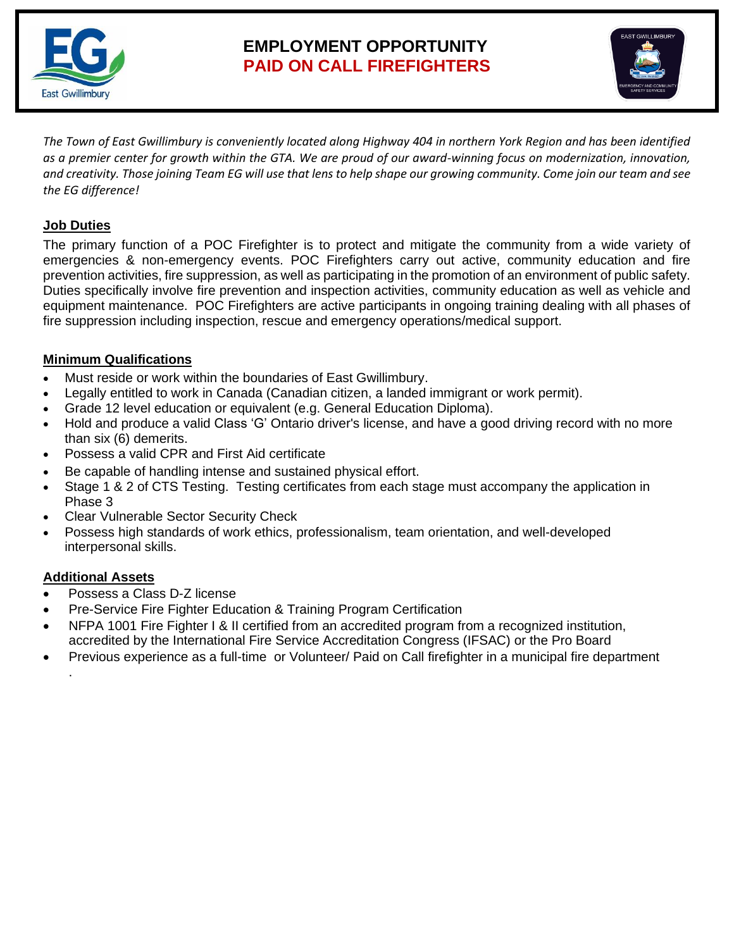

# **EMPLOYMENT OPPORTUNITY PAID ON CALL FIREFIGHTERS**



*The Town of East Gwillimbury is conveniently located along Highway 404 in northern York Region and has been identified as a premier center for growth within the GTA. We are proud of our award-winning focus on modernization, innovation, and creativity. Those joining Team EG will use that lens to help shape our growing community. Come join our team and see the EG difference!* 

### **Job Duties**

The primary function of a POC Firefighter is to protect and mitigate the community from a wide variety of emergencies & non-emergency events. POC Firefighters carry out active, community education and fire prevention activities, fire suppression, as well as participating in the promotion of an environment of public safety. Duties specifically involve fire prevention and inspection activities, community education as well as vehicle and equipment maintenance. POC Firefighters are active participants in ongoing training dealing with all phases of fire suppression including inspection, rescue and emergency operations/medical support.

#### **Minimum Qualifications**

- Must reside or work within the boundaries of East Gwillimbury.
- Legally entitled to work in Canada (Canadian citizen, a landed immigrant or work permit).
- Grade 12 level education or equivalent (e.g. General Education Diploma).
- Hold and produce a valid Class 'G' Ontario driver's license, and have a good driving record with no more than six (6) demerits.
- Possess a valid CPR and First Aid certificate
- Be capable of handling intense and sustained physical effort.
- Stage 1 & 2 of CTS Testing. Testing certificates from each stage must accompany the application in Phase 3
- Clear Vulnerable Sector Security Check
- Possess high standards of work ethics, professionalism, team orientation, and well-developed interpersonal skills.

## **Additional Assets**

.

- Possess a Class D-Z license
- Pre-Service Fire Fighter Education & Training Program Certification
- NFPA 1001 Fire Fighter I & II certified from an accredited program from a recognized institution, accredited by the International Fire Service Accreditation Congress (IFSAC) or the Pro Board
- Previous experience as a full-time or Volunteer/ Paid on Call firefighter in a municipal fire department